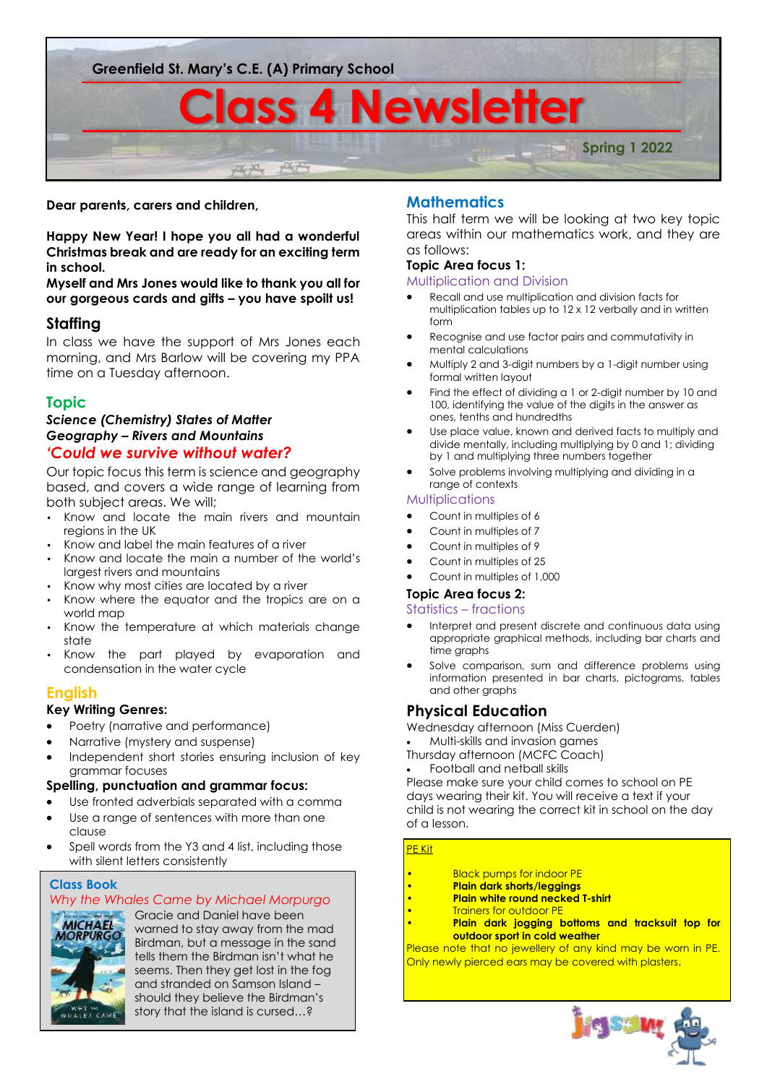

#### **Dear parents, carers and children,**

**Happy New Year! I hope you all had a wonderful Christmas break and are ready for an exciting term in school.** 

**Myself and Mrs Jones would like to thank you all for our gorgeous cards and gifts – you have spoilt us!** 

# **Staffing**

In class we have the support of Mrs Jones each morning, and Mrs Barlow will be covering my PPA time on a Tuesday afternoon.

# **Topic**

#### *Science (Chemistry) States of Matter Geography – Rivers and Mountains 'Could we survive without water?*

Our topic focus this term is science and geography based, and covers a wide range of learning from both subject areas. We will;

- Know and locate the main rivers and mountain regions in the UK
- Know and label the main features of a river
- Know and locate the main a number of the world's largest rivers and mountains
- Know why most cities are located by a river
- Know where the equator and the tropics are on a world map Know the temperature at which materials change
- state
- Know the part played by evaporation and condensation in the water cycle

## **English**

### **Key Writing Genres:**

- Poetry (narrative and performance)
- Narrative (mystery and suspense)
- Independent short stories ensuring inclusion of key grammar focuses

#### **Spelling, punctuation and grammar focus:**

- Use fronted adverbials separated with a comma
- Use a range of sentences with more than one clause
- Spell words from the Y3 and 4 list, including those with silent letters consistently

#### **Class Book**

# *Why the Whales Came by Michael Morpurgo*



Gracie and Daniel have been warned to stay away from the mad Birdman, but a message in the sand tells them the Birdman isn't what he seems. Then they get lost in the fog and stranded on Samson Island – should they believe the Birdman's story that the island is cursed…?

# **Mathematics**

This half term we will be looking at two key topic areas within our mathematics work, and they are as follows:

#### **Topic Area focus 1:**

Multiplication and Division

- Recall and use multiplication and division facts for multiplication tables up to 12 x 12 verbally and in written form
- Recognise and use factor pairs and commutativity in mental calculations
- Multiply 2 and 3-digit numbers by a 1-digit number using formal written layout
- Find the effect of dividing a 1 or 2-digit number by 10 and 100, identifying the value of the digits in the answer as ones, tenths and hundredths
- Use place value, known and derived facts to multiply and divide mentally, including multiplying by 0 and 1; dividing by 1 and multiplying three numbers together
- Solve problems involving multiplying and dividing in a range of contexts

#### **Multiplications**

- Count in multiples of 6
- Count in multiples of 7
- Count in multiples of 9
- Count in multiples of 25
- Count in multiples of 1,000

#### **Topic Area focus 2:**

#### Statistics – fractions

- Interpret and present discrete and continuous data using appropriate graphical methods, including bar charts and time graphs
- Solve comparison, sum and difference problems using information presented in bar charts, pictograms, tables and other graphs

## **Physical Education**

Wednesday afternoon (Miss Cuerden) • Multi-skills and invasion games

Thursday afternoon (MCFC Coach)

• Football and netball skills

Please make sure your child comes to school on PE days wearing their kit. You will receive a text if your child is not wearing the correct kit in school on the day of a lesson.

#### PE Kit

- **Black pumps for indoor PE**
- **Plain dark shorts/leggings**
- **Plain white round necked T-shirt**
- **Trainers for outdoor PE**
- **Plain dark jogging bottoms and tracksuit top for outdoor sport in cold weather**

Please note that no jewellery of any kind may be worn in PE. Only newly pierced ears may be covered with plasters.